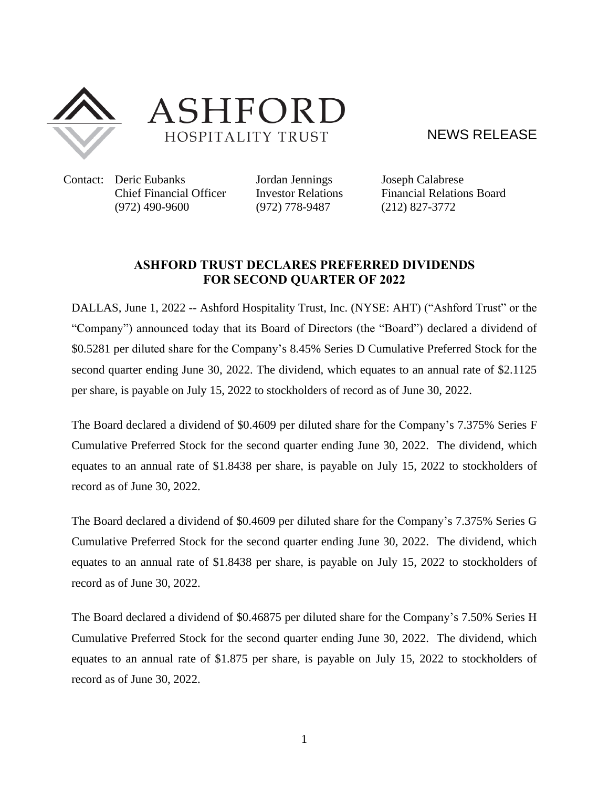

ASHFORD HOSPITALITY TRUST

NEWS RELEASE

Contact: Deric Eubanks Jordan Jennings Joseph Calabrese (972) 490-9600 (972) 778-9487 (212) 827-3772

Chief Financial Officer Investor Relations Financial Relations Board

## **ASHFORD TRUST DECLARES PREFERRED DIVIDENDS FOR SECOND QUARTER OF 2022**

DALLAS, June 1, 2022 -- Ashford Hospitality Trust, Inc. (NYSE: [AHT\)](http://studio-5.financialcontent.com/prnews?Page=Quote&Ticker=AHT) ("Ashford Trust" or the "Company") announced today that its Board of Directors (the "Board") declared a dividend of \$0.5281 per diluted share for the Company's 8.45% Series D Cumulative Preferred Stock for the second quarter ending June 30, 2022. The dividend, which equates to an annual rate of \$2.1125 per share, is payable on July 15, 2022 to stockholders of record as of June 30, 2022.

The Board declared a dividend of \$0.4609 per diluted share for the Company's 7.375% Series F Cumulative Preferred Stock for the second quarter ending June 30, 2022. The dividend, which equates to an annual rate of \$1.8438 per share, is payable on July 15, 2022 to stockholders of record as of June 30, 2022.

The Board declared a dividend of \$0.4609 per diluted share for the Company's 7.375% Series G Cumulative Preferred Stock for the second quarter ending June 30, 2022. The dividend, which equates to an annual rate of \$1.8438 per share, is payable on July 15, 2022 to stockholders of record as of June 30, 2022.

The Board declared a dividend of \$0.46875 per diluted share for the Company's 7.50% Series H Cumulative Preferred Stock for the second quarter ending June 30, 2022. The dividend, which equates to an annual rate of \$1.875 per share, is payable on July 15, 2022 to stockholders of record as of June 30, 2022.